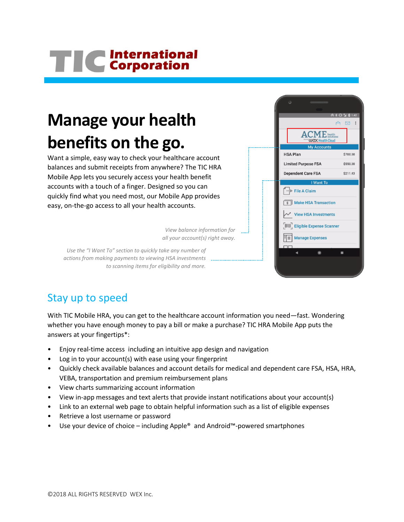# TIC International

## **Manage your health benefits on the go.**

Want a simple, easy way to check your healthcare account balances and submit receipts from anywhere? The TIC HRA Mobile App lets you securely access your health benefit accounts with a touch of a finger. Designed so you can quickly find what you need most, our Mobile App provides easy, on-the-go access to all your health accounts.

> *View balance information for all your account(s) right away.*

*Use the "I Want To" section to quickly take any number of actions from making payments to viewing HSA investments to scanning items for eligibility and more.* 



### Stay up to speed

With TIC Mobile HRA, you can get to the healthcare account information you need—fast. Wondering whether you have enough money to pay a bill or make a purchase? TIC HRA Mobile App puts the answers at your fingertips\*:

- Enjoy real-time access including an intuitive app design and navigation
- Log in to your account(s) with ease using your fingerprint
- Quickly check available balances and account details for medical and dependent care FSA, HSA, HRA, VEBA, transportation and premium reimbursement plans
- View charts summarizing account information
- View in-app messages and text alerts that provide instant notifications about your account(s)
- Link to an external web page to obtain helpful information such as a list of eligible expenses
- Retrieve a lost username or password
- Use your device of choice including Apple® and Android™-powered smartphones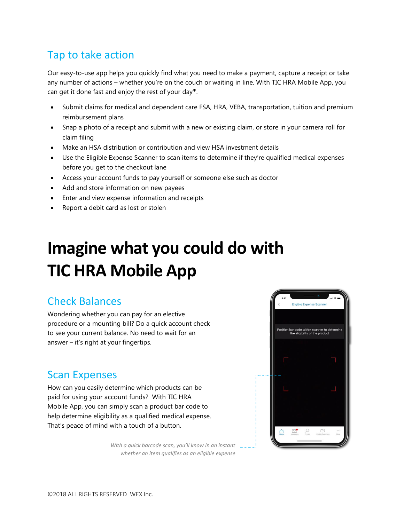## Tap to take action

Our easy-to-use app helps you quickly find what you need to make a payment, capture a receipt or take any number of actions – whether you're on the couch or waiting in line. With TIC HRA Mobile App, you can get it done fast and enjoy the rest of your day\*.

- Submit claims for medical and dependent care FSA, HRA, VEBA, transportation, tuition and premium reimbursement plans
- Snap a photo of a receipt and submit with a new or existing claim, or store in your camera roll for claim filing
- Make an HSA distribution or contribution and view HSA investment details
- Use the Eligible Expense Scanner to scan items to determine if they're qualified medical expenses before you get to the checkout lane
- Access your account funds to pay yourself or someone else such as doctor
- Add and store information on new payees
- Enter and view expense information and receipts
- Report a debit card as lost or stolen

# **Imagine what you could do with TIC HRA Mobile App**

#### Check Balances

Wondering whether you can pay for an elective procedure or a mounting bill? Do a quick account check to see your current balance. No need to wait for an answer – it's right at your fingertips.

#### Scan Expenses

How can you easily determine which products can be paid for using your account funds? With TIC HRA Mobile App, you can simply scan a product bar code to help determine eligibility as a qualified medical expense. That's peace of mind with a touch of a button.



*With a quick barcode scan, you'll know in an instant whether an item qualifies as an eligible expense*